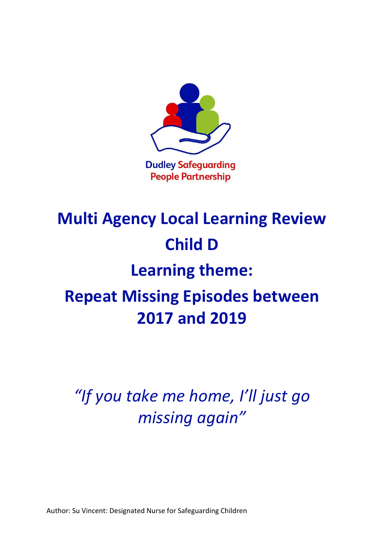

# **Multi Agency Local Learning Review Child D**

### **Learning theme:**

## **Repeat Missing Episodes between 2017 and 2019**

*"If you take me home, I'll just go missing again"*

Author: Su Vincent: Designated Nurse for Safeguarding Children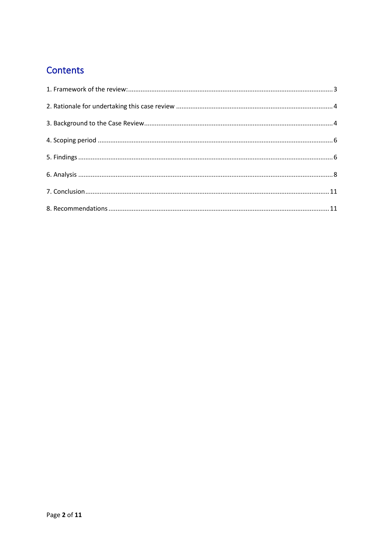### Contents

<span id="page-1-0"></span>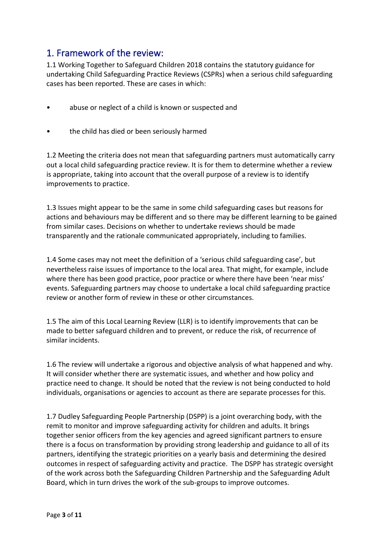#### 1. Framework of the review:

1.1 Working Together to Safeguard Children 2018 contains the statutory guidance for undertaking Child Safeguarding Practice Reviews (CSPRs) when a serious child safeguarding cases has been reported. These are cases in which:

- abuse or neglect of a child is known or suspected and
- the child has died or been seriously harmed

1.2 Meeting the criteria does not mean that safeguarding partners must automatically carry out a local child safeguarding practice review. It is for them to determine whether a review is appropriate, taking into account that the overall purpose of a review is to identify improvements to practice.

1.3 Issues might appear to be the same in some child safeguarding cases but reasons for actions and behaviours may be different and so there may be different learning to be gained from similar cases. Decisions on whether to undertake reviews should be made transparently and the rationale communicated appropriately, including to families.

1.4 Some cases may not meet the definition of a 'serious child safeguarding case', but nevertheless raise issues of importance to the local area. That might, for example, include where there has been good practice, poor practice or where there have been 'near miss' events. Safeguarding partners may choose to undertake a local child safeguarding practice review or another form of review in these or other circumstances.

1.5 The aim of this Local Learning Review (LLR) is to identify improvements that can be made to better safeguard children and to prevent, or reduce the risk, of recurrence of similar incidents.

1.6 The review will undertake a rigorous and objective analysis of what happened and why. It will consider whether there are systematic issues, and whether and how policy and practice need to change. It should be noted that the review is not being conducted to hold individuals, organisations or agencies to account as there are separate processes for this.

1.7 Dudley Safeguarding People Partnership (DSPP) is a joint overarching body, with the remit to monitor and improve safeguarding activity for children and adults. It brings together senior officers from the key agencies and agreed significant partners to ensure there is a focus on transformation by providing strong leadership and guidance to all of its partners, identifying the strategic priorities on a yearly basis and determining the desired outcomes in respect of safeguarding activity and practice. The DSPP has strategic oversight of the work across both the Safeguarding Children Partnership and the Safeguarding Adult Board, which in turn drives the work of the sub-groups to improve outcomes.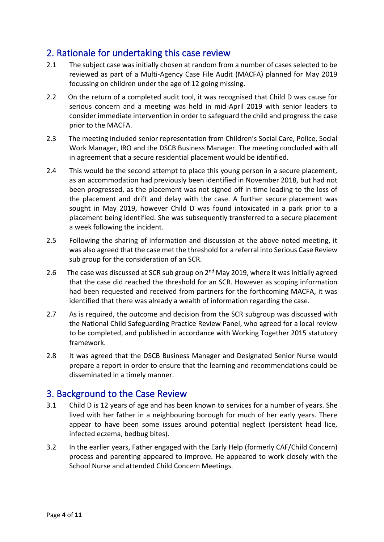#### <span id="page-3-0"></span>2. Rationale for undertaking this case review

- 2.1 The subject case was initially chosen at random from a number of cases selected to be reviewed as part of a Multi-Agency Case File Audit (MACFA) planned for May 2019 focussing on children under the age of 12 going missing.
- 2.2 On the return of a completed audit tool, it was recognised that Child D was cause for serious concern and a meeting was held in mid-April 2019 with senior leaders to consider immediate intervention in order to safeguard the child and progress the case prior to the MACFA.
- 2.3 The meeting included senior representation from Children's Social Care, Police, Social Work Manager, IRO and the DSCB Business Manager. The meeting concluded with all in agreement that a secure residential placement would be identified.
- 2.4 This would be the second attempt to place this young person in a secure placement, as an accommodation had previously been identified in November 2018, but had not been progressed, as the placement was not signed off in time leading to the loss of the placement and drift and delay with the case. A further secure placement was sought in May 2019, however Child D was found intoxicated in a park prior to a placement being identified. She was subsequently transferred to a secure placement a week following the incident.
- 2.5 Following the sharing of information and discussion at the above noted meeting, it was also agreed that the case met the threshold for a referral into Serious Case Review sub group for the consideration of an SCR.
- 2.6 The case was discussed at SCR sub group on  $2^{nd}$  May 2019, where it was initially agreed that the case did reached the threshold for an SCR. However as scoping information had been requested and received from partners for the forthcoming MACFA, it was identified that there was already a wealth of information regarding the case.
- 2.7 As is required, the outcome and decision from the SCR subgroup was discussed with the National Child Safeguarding Practice Review Panel, who agreed for a local review to be completed, and published in accordance with Working Together 2015 statutory framework.
- 2.8 It was agreed that the DSCB Business Manager and Designated Senior Nurse would prepare a report in order to ensure that the learning and recommendations could be disseminated in a timely manner.

#### <span id="page-3-1"></span>3. Background to the Case Review

- 3.1 Child D is 12 years of age and has been known to services for a number of years. She lived with her father in a neighbouring borough for much of her early years. There appear to have been some issues around potential neglect (persistent head lice, infected eczema, bedbug bites).
- 3.2 In the earlier years, Father engaged with the Early Help (formerly CAF/Child Concern) process and parenting appeared to improve. He appeared to work closely with the School Nurse and attended Child Concern Meetings.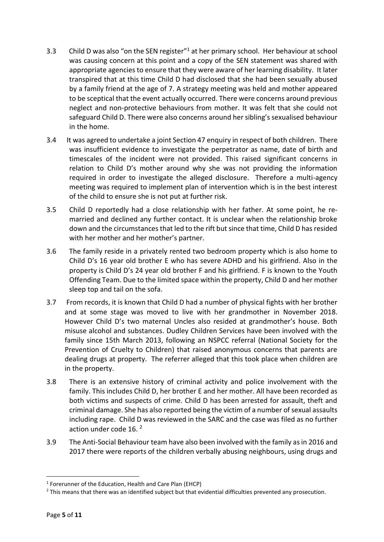- 3.3 Child D was also "on the SEN register"<sup>1</sup> at her primary school. Her behaviour at school was causing concern at this point and a copy of the SEN statement was shared with appropriate agencies to ensure that they were aware of her learning disability. It later transpired that at this time Child D had disclosed that she had been sexually abused by a family friend at the age of 7. A strategy meeting was held and mother appeared to be sceptical that the event actually occurred. There were concerns around previous neglect and non-protective behaviours from mother. It was felt that she could not safeguard Child D. There were also concerns around her sibling's sexualised behaviour in the home.
- 3.4 It was agreed to undertake a joint Section 47 enquiry in respect of both children. There was insufficient evidence to investigate the perpetrator as name, date of birth and timescales of the incident were not provided. This raised significant concerns in relation to Child D's mother around why she was not providing the information required in order to investigate the alleged disclosure. Therefore a multi-agency meeting was required to implement plan of intervention which is in the best interest of the child to ensure she is not put at further risk.
- 3.5 Child D reportedly had a close relationship with her father. At some point, he remarried and declined any further contact. It is unclear when the relationship broke down and the circumstances that led to the rift but since that time, Child D has resided with her mother and her mother's partner.
- 3.6 The family reside in a privately rented two bedroom property which is also home to Child D's 16 year old brother E who has severe ADHD and his girlfriend. Also in the property is Child D's 24 year old brother F and his girlfriend. F is known to the Youth Offending Team. Due to the limited space within the property, Child D and her mother sleep top and tail on the sofa.
- 3.7 From records, it is known that Child D had a number of physical fights with her brother and at some stage was moved to live with her grandmother in November 2018. However Child D's two maternal Uncles also resided at grandmother's house. Both misuse alcohol and substances. Dudley Children Services have been involved with the family since 15th March 2013, following an NSPCC referral (National Society for the Prevention of Cruelty to Children) that raised anonymous concerns that parents are dealing drugs at property. The referrer alleged that this took place when children are in the property.
- 3.8 There is an extensive history of criminal activity and police involvement with the family. This includes Child D, her brother E and her mother. All have been recorded as both victims and suspects of crime. Child D has been arrested for assault, theft and criminal damage. She has also reported being the victim of a number of sexual assaults including rape. Child D was reviewed in the SARC and the case was filed as no further action under code 16.<sup>2</sup>
- 3.9 The Anti-Social Behaviour team have also been involved with the family as in 2016 and 2017 there were reports of the children verbally abusing neighbours, using drugs and

<sup>1</sup> Forerunner of the Education, Health and Care Plan (EHCP)

<sup>&</sup>lt;sup>2</sup> This means that there was an identified subject but that evidential difficulties prevented any prosecution.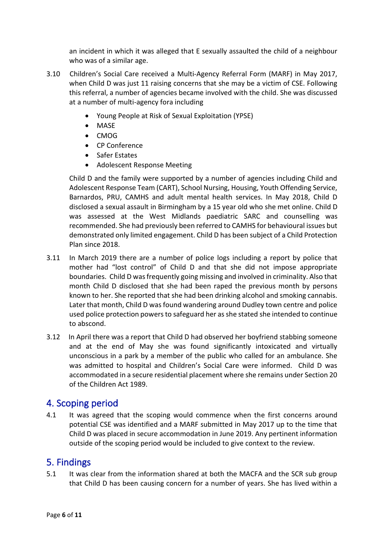an incident in which it was alleged that E sexually assaulted the child of a neighbour who was of a similar age.

- 3.10 Children's Social Care received a Multi-Agency Referral Form (MARF) in May 2017, when Child D was just 11 raising concerns that she may be a victim of CSE. Following this referral, a number of agencies became involved with the child. She was discussed at a number of multi-agency fora including
	- Young People at Risk of Sexual Exploitation (YPSE)
	- MASE
	- CMOG
	- CP Conference
	- Safer Estates
	- Adolescent Response Meeting

Child D and the family were supported by a number of agencies including Child and Adolescent Response Team (CART), School Nursing, Housing, Youth Offending Service, Barnardos, PRU, CAMHS and adult mental health services. In May 2018, Child D disclosed a sexual assault in Birmingham by a 15 year old who she met online. Child D was assessed at the West Midlands paediatric SARC and counselling was recommended. She had previously been referred to CAMHS for behavioural issues but demonstrated only limited engagement. Child D has been subject of a Child Protection Plan since 2018.

- 3.11 In March 2019 there are a number of police logs including a report by police that mother had "lost control" of Child D and that she did not impose appropriate boundaries. Child D was frequently going missing and involved in criminality. Also that month Child D disclosed that she had been raped the previous month by persons known to her. She reported that she had been drinking alcohol and smoking cannabis. Later that month, Child D was found wandering around Dudley town centre and police used police protection powers to safeguard her as she stated she intended to continue to abscond.
- 3.12 In April there was a report that Child D had observed her boyfriend stabbing someone and at the end of May she was found significantly intoxicated and virtually unconscious in a park by a member of the public who called for an ambulance. She was admitted to hospital and Children's Social Care were informed. Child D was accommodated in a secure residential placement where she remains under Section 20 of the Children Act 1989.

#### <span id="page-5-0"></span>4. Scoping period

4.1 It was agreed that the scoping would commence when the first concerns around potential CSE was identified and a MARF submitted in May 2017 up to the time that Child D was placed in secure accommodation in June 2019. Any pertinent information outside of the scoping period would be included to give context to the review.

#### <span id="page-5-1"></span>5. Findings

5.1 It was clear from the information shared at both the MACFA and the SCR sub group that Child D has been causing concern for a number of years. She has lived within a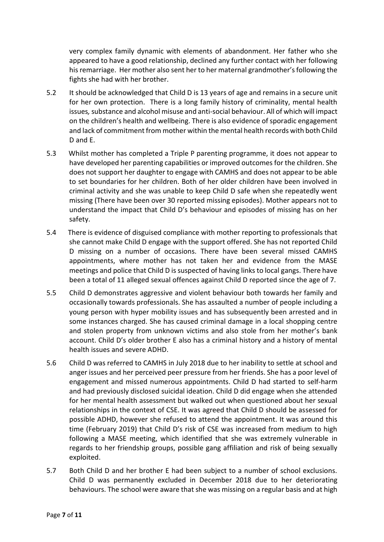very complex family dynamic with elements of abandonment. Her father who she appeared to have a good relationship, declined any further contact with her following his remarriage. Her mother also sent her to her maternal grandmother's following the fights she had with her brother.

- 5.2 It should be acknowledged that Child D is 13 years of age and remains in a secure unit for her own protection. There is a long family history of criminality, mental health issues*,* substance and alcohol misuse and anti-social behaviour. All of which will impact on the children's health and wellbeing. There is also evidence of sporadic engagement and lack of commitment from mother within the mental health records with both Child D and E.
- 5.3 Whilst mother has completed a Triple P parenting programme, it does not appear to have developed her parenting capabilities or improved outcomes for the children. She does not support her daughter to engage with CAMHS and does not appear to be able to set boundaries for her children. Both of her older children have been involved in criminal activity and she was unable to keep Child D safe when she repeatedly went missing (There have been over 30 reported missing episodes). Mother appears not to understand the impact that Child D's behaviour and episodes of missing has on her safety.
- 5.4 There is evidence of disguised compliance with mother reporting to professionals that she cannot make Child D engage with the support offered. She has not reported Child D missing on a number of occasions. There have been several missed CAMHS appointments, where mother has not taken her and evidence from the MASE meetings and police that Child D is suspected of having links to local gangs. There have been a total of 11 alleged sexual offences against Child D reported since the age of 7.
- 5.5 Child D demonstrates aggressive and violent behaviour both towards her family and occasionally towards professionals. She has assaulted a number of people including a young person with hyper mobility issues and has subsequently been arrested and in some instances charged. She has caused criminal damage in a local shopping centre and stolen property from unknown victims and also stole from her mother's bank account. Child D's older brother E also has a criminal history and a history of mental health issues and severe ADHD.
- 5.6 Child D was referred to CAMHS in July 2018 due to her inability to settle at school and anger issues and her perceived peer pressure from her friends. She has a poor level of engagement and missed numerous appointments. Child D had started to self-harm and had previously disclosed suicidal ideation. Child D did engage when she attended for her mental health assessment but walked out when questioned about her sexual relationships in the context of CSE. It was agreed that Child D should be assessed for possible ADHD, however she refused to attend the appointment. It was around this time (February 2019) that Child D's risk of CSE was increased from medium to high following a MASE meeting, which identified that she was extremely vulnerable in regards to her friendship groups, possible gang affiliation and risk of being sexually exploited.
- 5.7 Both Child D and her brother E had been subject to a number of school exclusions. Child D was permanently excluded in December 2018 due to her deteriorating behaviours. The school were aware that she was missing on a regular basis and at high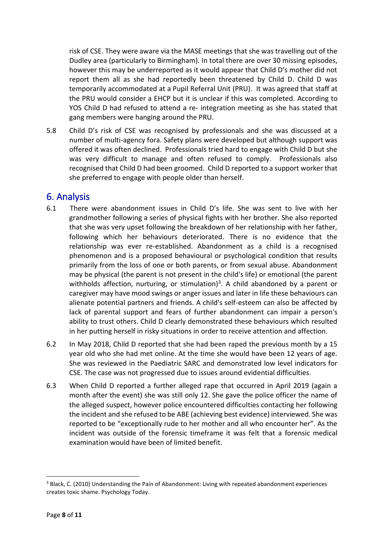risk of CSE. They were aware via the MASE meetings that she was travelling out of the Dudley area (particularly to Birmingham). In total there are over 30 missing episodes, however this may be underreported as it would appear that Child D's mother did not report them all as she had reportedly been threatened by Child D. Child D was temporarily accommodated at a Pupil Referral Unit (PRU). It was agreed that staff at the PRU would consider a EHCP but it is unclear if this was completed. According to YOS Child D had refused to attend a re- integration meeting as she has stated that gang members were hanging around the PRU.

5.8 Child D's risk of CSE was recognised by professionals and she was discussed at a number of multi-agency fora. Safety plans were developed but although support was offered it was often declined. Professionals tried hard to engage with Child D but she was very difficult to manage and often refused to comply. Professionals also recognised that Child D had been groomed. Child D reported to a support worker that she preferred to engage with people older than herself.

#### <span id="page-7-0"></span>6. Analysis

- 6.1 There were abandonment issues in Child D's life. She was sent to live with her grandmother following a series of physical fights with her brother. She also reported that she was very upset following the breakdown of her relationship with her father, following which her behaviours deteriorated. There is no evidence that the relationship was ever re-established. Abandonment as a child is a recognised phenomenon and is a proposed behavioural or psychological condition that results primarily from the loss of one or both parents, or from sexual abuse. Abandonment may be physical (the parent is not present in the child's life) or emotional (the parent withholds affection, nurturing, or stimulation)<sup>3</sup>. A child abandoned by a parent or caregiver may have mood swings or anger issues and later in life these behaviours can alienate potential partners and friends. A child's self-esteem can also be affected by lack of parental support and fears of further abandonment can impair a person's ability to trust others. Child D clearly demonstrated these behaviours which resulted in her putting herself in risky situations in order to receive attention and affection.
- 6.2 In May 2018, Child D reported that she had been raped the previous month by a 15 year old who she had met online. At the time she would have been 12 years of age. She was reviewed in the Paediatric SARC and demonstrated low level indicators for CSE. The case was not progressed due to issues around evidential difficulties.
- 6.3 When Child D reported a further alleged rape that occurred in April 2019 (again a month after the event) she was still only 12. She gave the police officer the name of the alleged suspect, however police encountered difficulties contacting her following the incident and she refused to be ABE (achieving best evidence) interviewed. She was reported to be "exceptionally rude to her mother and all who encounter her". As the incident was outside of the forensic timeframe it was felt that a forensic medical examination would have been of limited benefit.

<sup>3</sup> Black, C. (2010) Understanding the Pain of Abandonment: Living with repeated abandonment experiences creates toxic shame. Psychology Today.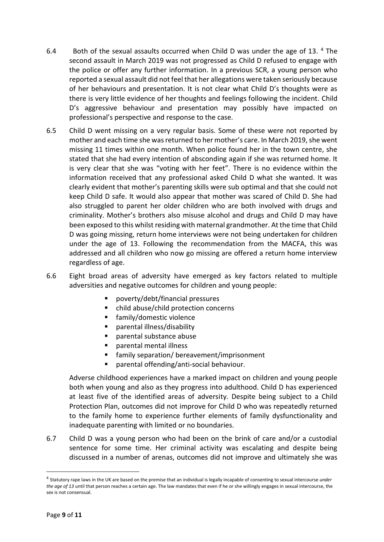- 6.4 Both of the sexual assaults occurred when Child D was under the age of 13. 4 The second assault in March 2019 was not progressed as Child D refused to engage with the police or offer any further information. In a previous SCR, a young person who reported a sexual assault did not feel that her allegations were taken seriously because of her behaviours and presentation. It is not clear what Child D's thoughts were as there is very little evidence of her thoughts and feelings following the incident. Child D's aggressive behaviour and presentation may possibly have impacted on professional's perspective and response to the case.
- 6.5 Child D went missing on a very regular basis. Some of these were not reported by mother and each time she was returned to her mother's care. In March 2019, she went missing 11 times within one month. When police found her in the town centre, she stated that she had every intention of absconding again if she was returned home. It is very clear that she was "voting with her feet". There is no evidence within the information received that any professional asked Child D what she wanted. It was clearly evident that mother's parenting skills were sub optimal and that she could not keep Child D safe. It would also appear that mother was scared of Child D. She had also struggled to parent her older children who are both involved with drugs and criminality. Mother's brothers also misuse alcohol and drugs and Child D may have been exposed to this whilst residing with maternal grandmother. At the time that Child D was going missing, return home interviews were not being undertaken for children under the age of 13. Following the recommendation from the MACFA, this was addressed and all children who now go missing are offered a return home interview regardless of age.
- 6.6 Eight broad areas of adversity have emerged as key factors related to multiple adversities and negative outcomes for children and young people:
	- poverty/debt/financial pressures
	- child abuse/child protection concerns
	- family/domestic violence
	- parental illness/disability
	- parental substance abuse
	- parental mental illness
	- family separation/ bereavement/imprisonment
	- parental offending/anti-social behaviour.

 Adverse childhood experiences have a marked impact on children and young people both when young and also as they progress into adulthood. Child D has experienced at least five of the identified areas of adversity. Despite being subject to a Child Protection Plan, outcomes did not improve for Child D who was repeatedly returned to the family home to experience further elements of family dysfunctionality and inadequate parenting with limited or no boundaries.

6.7 Child D was a young person who had been on the brink of care and/or a custodial sentence for some time. Her criminal activity was escalating and despite being discussed in a number of arenas, outcomes did not improve and ultimately she was

<sup>4</sup> Statutory rape laws in the UK are based on the premise that an individual is legally incapable of consenting to sexual intercourse *under the age of 13* until that person reaches a certain age. The law mandates that even if he or she willingly engages in sexual intercourse, the sex is not consensual.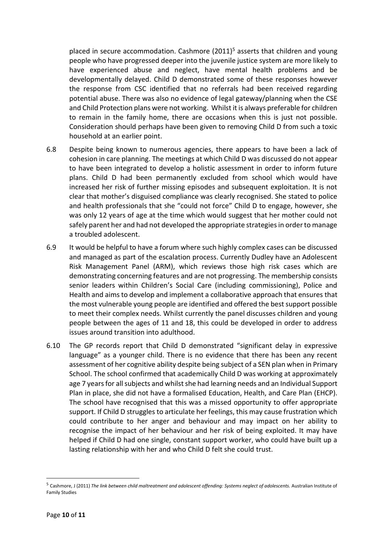placed in secure accommodation. Cashmore (2011)<sup>5</sup> asserts that children and young people who have progressed deeper into the juvenile justice system are more likely to have experienced abuse and neglect, have mental health problems and be developmentally delayed. Child D demonstrated some of these responses however the response from CSC identified that no referrals had been received regarding potential abuse. There was also no evidence of legal gateway/planning when the CSE and Child Protection plans were not working. Whilst it is always preferable for children to remain in the family home, there are occasions when this is just not possible. Consideration should perhaps have been given to removing Child D from such a toxic household at an earlier point.

- 6.8 Despite being known to numerous agencies, there appears to have been a lack of cohesion in care planning. The meetings at which Child D was discussed do not appear to have been integrated to develop a holistic assessment in order to inform future plans. Child D had been permanently excluded from school which would have increased her risk of further missing episodes and subsequent exploitation. It is not clear that mother's disguised compliance was clearly recognised. She stated to police and health professionals that she "could not force" Child D to engage, however, she was only 12 years of age at the time which would suggest that her mother could not safely parent her and had not developed the appropriate strategies in order to manage a troubled adolescent.
- 6.9 It would be helpful to have a forum where such highly complex cases can be discussed and managed as part of the escalation process. Currently Dudley have an Adolescent Risk Management Panel (ARM), which reviews those high risk cases which are demonstrating concerning features and are not progressing. The membership consists senior leaders within Children's Social Care (including commissioning), Police and Health and aims to develop and implement a collaborative approach that ensures that the most vulnerable young people are identified and offered the best support possible to meet their complex needs. Whilst currently the panel discusses children and young people between the ages of 11 and 18, this could be developed in order to address issues around transition into adulthood.
- 6.10 The GP records report that Child D demonstrated "significant delay in expressive language" as a younger child. There is no evidence that there has been any recent assessment of her cognitive ability despite being subject of a SEN plan when in Primary School. The school confirmed that academically Child D was working at approximately age 7 years for all subjects and whilst she had learning needs and an Individual Support Plan in place, she did not have a formalised Education, Health, and Care Plan (EHCP). The school have recognised that this was a missed opportunity to offer appropriate support. If Child D struggles to articulate her feelings, this may cause frustration which could contribute to her anger and behaviour and may impact on her ability to recognise the impact of her behaviour and her risk of being exploited. It may have helped if Child D had one single, constant support worker, who could have built up a lasting relationship with her and who Child D felt she could trust.

<sup>5</sup> Cashmore, J (2011) *The link between child maltreatment and adolescent offending: Systems neglect of adolescents.* Australian Institute of Family Studies